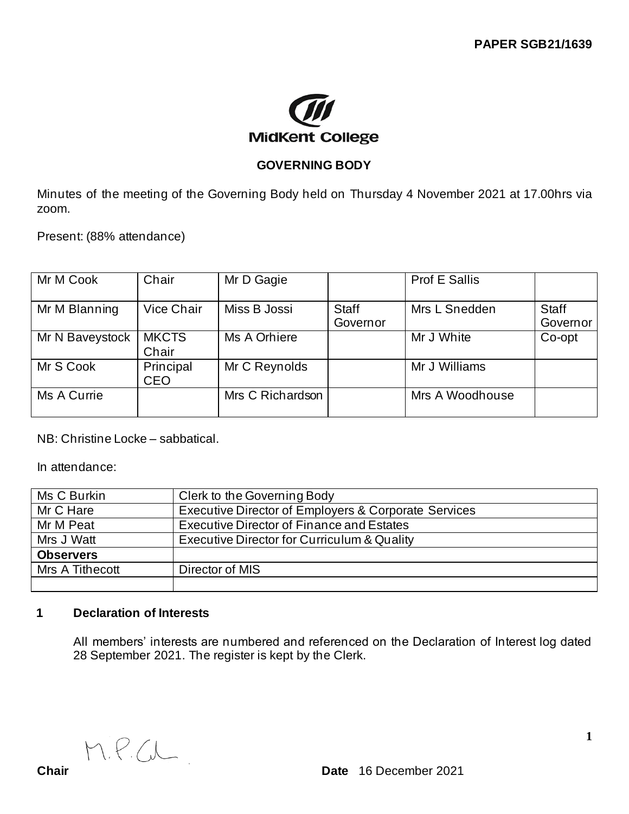

# **GOVERNING BODY**

Minutes of the meeting of the Governing Body held on Thursday 4 November 2021 at 17.00hrs via zoom.

Present: (88% attendance)

| Mr M Cook       | Chair                   | Mr D Gagie       |                          | <b>Prof E Sallis</b> |                          |
|-----------------|-------------------------|------------------|--------------------------|----------------------|--------------------------|
| Mr M Blanning   | Vice Chair              | Miss B Jossi     | <b>Staff</b><br>Governor | Mrs L Snedden        | <b>Staff</b><br>Governor |
| Mr N Baveystock | <b>MKCTS</b><br>Chair   | Ms A Orhiere     |                          | Mr J White           | Co-opt                   |
| Mr S Cook       | Principal<br><b>CEO</b> | Mr C Reynolds    |                          | Mr J Williams        |                          |
| Ms A Currie     |                         | Mrs C Richardson |                          | Mrs A Woodhouse      |                          |

NB: Christine Locke – sabbatical.

In attendance:

| Ms C Burkin      | Clerk to the Governing Body                          |  |  |
|------------------|------------------------------------------------------|--|--|
| Mr C Hare        | Executive Director of Employers & Corporate Services |  |  |
| Mr M Peat        | Executive Director of Finance and Estates            |  |  |
| Mrs J Watt       | Executive Director for Curriculum & Quality          |  |  |
| <b>Observers</b> |                                                      |  |  |
| Mrs A Tithecott  | Director of MIS                                      |  |  |
|                  |                                                      |  |  |

# **1 Declaration of Interests**

All members' interests are numbered and referenced on the Declaration of Interest log dated 28 September 2021. The register is kept by the Clerk.

M.P.C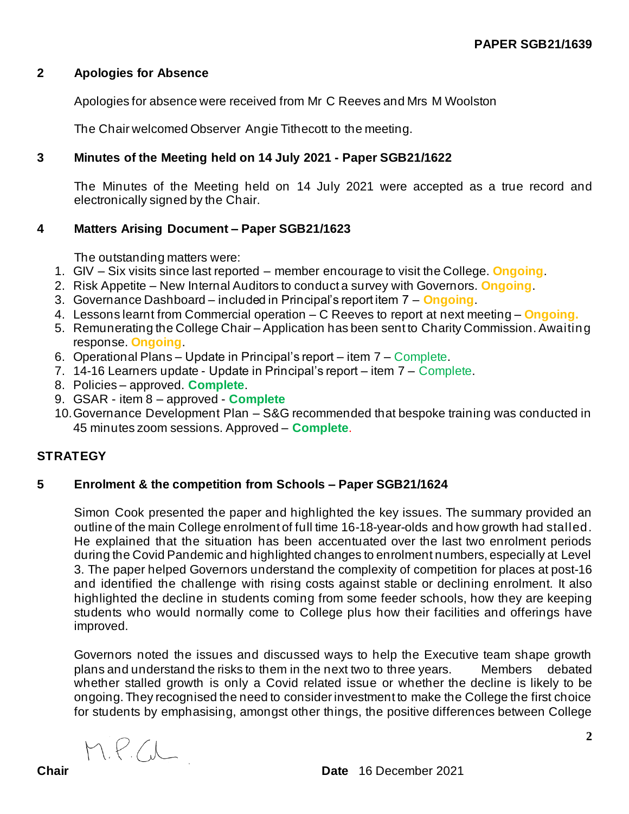### **2 Apologies for Absence**

Apologies for absence were received from Mr C Reeves and Mrs M Woolston

The Chair welcomed Observer Angie Tithecott to the meeting.

# **3 Minutes of the Meeting held on 14 July 2021 - Paper SGB21/1622**

The Minutes of the Meeting held on 14 July 2021 were accepted as a true record and electronically signed by the Chair.

# **4 Matters Arising Document – Paper SGB21/1623**

The outstanding matters were:

- 1. GIV Six visits since last reported member encourage to visit the College. **Ongoing**.
- 2. Risk Appetite New Internal Auditors to conduct a survey with Governors. **Ongoing**.
- 3. Governance Dashboard included in Principal's report item 7 **Ongoing**.
- 4. Lessons learnt from Commercial operation C Reeves to report at next meeting **Ongoing.**
- 5. Remunerating the College Chair Application has been sent to Charity Commission. Awaiting response. **Ongoing**.
- 6. Operational Plans Update in Principal's report item 7 Complete.
- 7. 14-16 Learners update Update in Principal's report item 7 Complete.
- 8. Policies approved. **Complete**.
- 9. GSAR item 8 approved **Complete**
- 10.Governance Development Plan S&G recommended that bespoke training was conducted in 45 minutes zoom sessions. Approved – **Complete**.

# **STRATEGY**

# **5 Enrolment & the competition from Schools – Paper SGB21/1624**

Simon Cook presented the paper and highlighted the key issues. The summary provided an outline of the main College enrolment of full time 16-18-year-olds and how growth had stalled. He explained that the situation has been accentuated over the last two enrolment periods during the Covid Pandemic and highlighted changes to enrolment numbers, especially at Level 3. The paper helped Governors understand the complexity of competition for places at post-16 and identified the challenge with rising costs against stable or declining enrolment. It also highlighted the decline in students coming from some feeder schools, how they are keeping students who would normally come to College plus how their facilities and offerings have improved.

Governors noted the issues and discussed ways to help the Executive team shape growth plans and understand the risks to them in the next two to three years. Members debated whether stalled growth is only a Covid related issue or whether the decline is likely to be ongoing. They recognised the need to consider investment to make the College the first choice for students by emphasising, amongst other things, the positive differences between College

M.P.C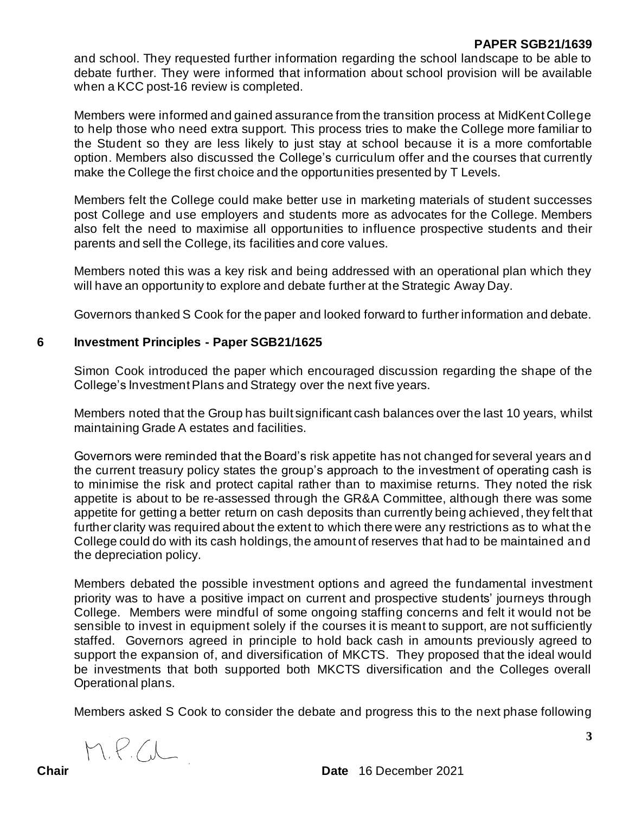## **PAPER SGB21/1639**

and school. They requested further information regarding the school landscape to be able to debate further. They were informed that information about school provision will be available when a KCC post-16 review is completed.

Members were informed and gained assurance from the transition process at MidKent College to help those who need extra support. This process tries to make the College more familiar to the Student so they are less likely to just stay at school because it is a more comfortable option. Members also discussed the College's curriculum offer and the courses that currently make the College the first choice and the opportunities presented by T Levels.

Members felt the College could make better use in marketing materials of student successes post College and use employers and students more as advocates for the College. Members also felt the need to maximise all opportunities to influence prospective students and their parents and sell the College, its facilities and core values.

Members noted this was a key risk and being addressed with an operational plan which they will have an opportunity to explore and debate further at the Strategic Away Day.

Governors thanked S Cook for the paper and looked forward to further information and debate.

### **6 Investment Principles - Paper SGB21/1625**

Simon Cook introduced the paper which encouraged discussion regarding the shape of the College's Investment Plans and Strategy over the next five years.

Members noted that the Group has built significant cash balances over the last 10 years, whilst maintaining Grade A estates and facilities.

Governors were reminded that the Board's risk appetite has not changed for several years and the current treasury policy states the group's approach to the investment of operating cash is to minimise the risk and protect capital rather than to maximise returns. They noted the risk appetite is about to be re-assessed through the GR&A Committee, although there was some appetite for getting a better return on cash deposits than currently being achieved, they felt that further clarity was required about the extent to which there were any restrictions as to what the College could do with its cash holdings, the amount of reserves that had to be maintained and the depreciation policy.

Members debated the possible investment options and agreed the fundamental investment priority was to have a positive impact on current and prospective students' journeys through College. Members were mindful of some ongoing staffing concerns and felt it would not be sensible to invest in equipment solely if the courses it is meant to support, are not sufficiently staffed. Governors agreed in principle to hold back cash in amounts previously agreed to support the expansion of, and diversification of MKCTS. They proposed that the ideal would be investments that both supported both MKCTS diversification and the Colleges overall Operational plans.

Members asked S Cook to consider the debate and progress this to the next phase following

M.P.W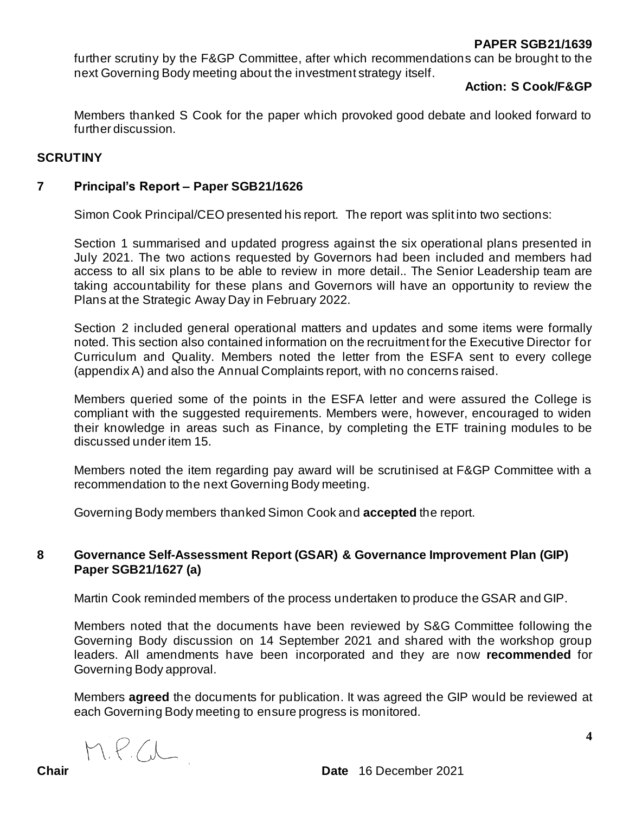## **PAPER SGB21/1639**

further scrutiny by the F&GP Committee, after which recommendations can be brought to the next Governing Body meeting about the investment strategy itself.

#### **Action: S Cook/F&GP**

Members thanked S Cook for the paper which provoked good debate and looked forward to further discussion.

#### **SCRUTINY**

#### **7 Principal's Report – Paper SGB21/1626**

Simon Cook Principal/CEO presented his report. The report was split into two sections:

Section 1 summarised and updated progress against the six operational plans presented in July 2021. The two actions requested by Governors had been included and members had access to all six plans to be able to review in more detail.. The Senior Leadership team are taking accountability for these plans and Governors will have an opportunity to review the Plans at the Strategic Away Day in February 2022.

Section 2 included general operational matters and updates and some items were formally noted. This section also contained information on the recruitment for the Executive Director for Curriculum and Quality. Members noted the letter from the ESFA sent to every college (appendix A) and also the Annual Complaints report, with no concerns raised.

Members queried some of the points in the ESFA letter and were assured the College is compliant with the suggested requirements. Members were, however, encouraged to widen their knowledge in areas such as Finance, by completing the ETF training modules to be discussed under item 15.

Members noted the item regarding pay award will be scrutinised at F&GP Committee with a recommendation to the next Governing Body meeting.

Governing Body members thanked Simon Cook and **accepted** the report.

# **8 Governance Self-Assessment Report (GSAR) & Governance Improvement Plan (GIP) Paper SGB21/1627 (a)**

Martin Cook reminded members of the process undertaken to produce the GSAR and GIP.

Members noted that the documents have been reviewed by S&G Committee following the Governing Body discussion on 14 September 2021 and shared with the workshop group leaders. All amendments have been incorporated and they are now **recommended** for Governing Body approval.

Members **agreed** the documents for publication. It was agreed the GIP would be reviewed at each Governing Body meeting to ensure progress is monitored.

M.P.W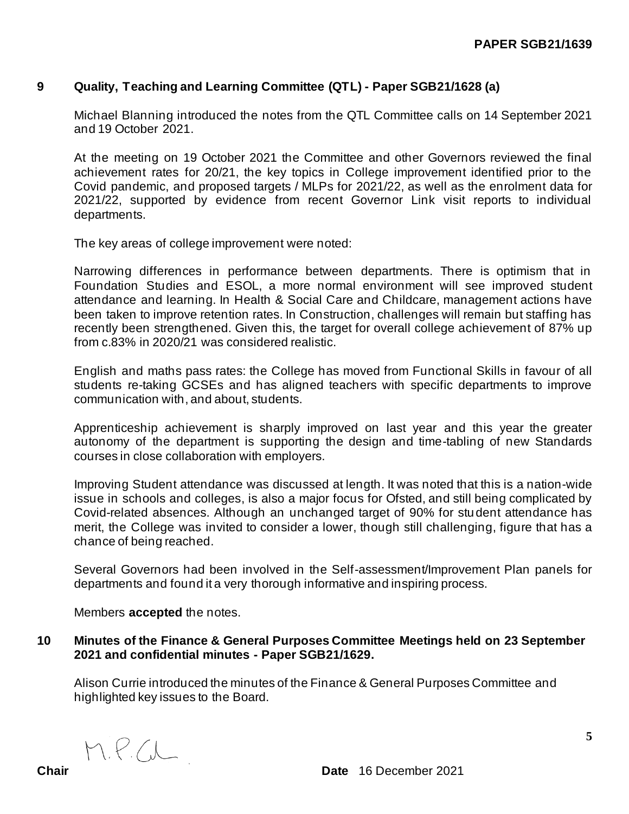# **9 Quality, Teaching and Learning Committee (QTL) - Paper SGB21/1628 (a)**

Michael Blanning introduced the notes from the QTL Committee calls on 14 September 2021 and 19 October 2021.

At the meeting on 19 October 2021 the Committee and other Governors reviewed the final achievement rates for 20/21, the key topics in College improvement identified prior to the Covid pandemic, and proposed targets / MLPs for 2021/22, as well as the enrolment data for 2021/22, supported by evidence from recent Governor Link visit reports to individual departments.

The key areas of college improvement were noted:

Narrowing differences in performance between departments. There is optimism that in Foundation Studies and ESOL, a more normal environment will see improved student attendance and learning. In Health & Social Care and Childcare, management actions have been taken to improve retention rates. In Construction, challenges will remain but staffing has recently been strengthened. Given this, the target for overall college achievement of 87% up from c.83% in 2020/21 was considered realistic.

English and maths pass rates: the College has moved from Functional Skills in favour of all students re-taking GCSEs and has aligned teachers with specific departments to improve communication with, and about, students.

Apprenticeship achievement is sharply improved on last year and this year the greater autonomy of the department is supporting the design and time-tabling of new Standards courses in close collaboration with employers.

Improving Student attendance was discussed at length. It was noted that this is a nation-wide issue in schools and colleges, is also a major focus for Ofsted, and still being complicated by Covid-related absences. Although an unchanged target of 90% for student attendance has merit, the College was invited to consider a lower, though still challenging, figure that has a chance of being reached.

Several Governors had been involved in the Self-assessment/Improvement Plan panels for departments and found it a very thorough informative and inspiring process.

Members **accepted** the notes.

#### **10 Minutes of the Finance & General Purposes Committee Meetings held on 23 September 2021 and confidential minutes - Paper SGB21/1629.**

Alison Currie introduced the minutes of the Finance & General Purposes Committee and highlighted key issues to the Board.

M.P.C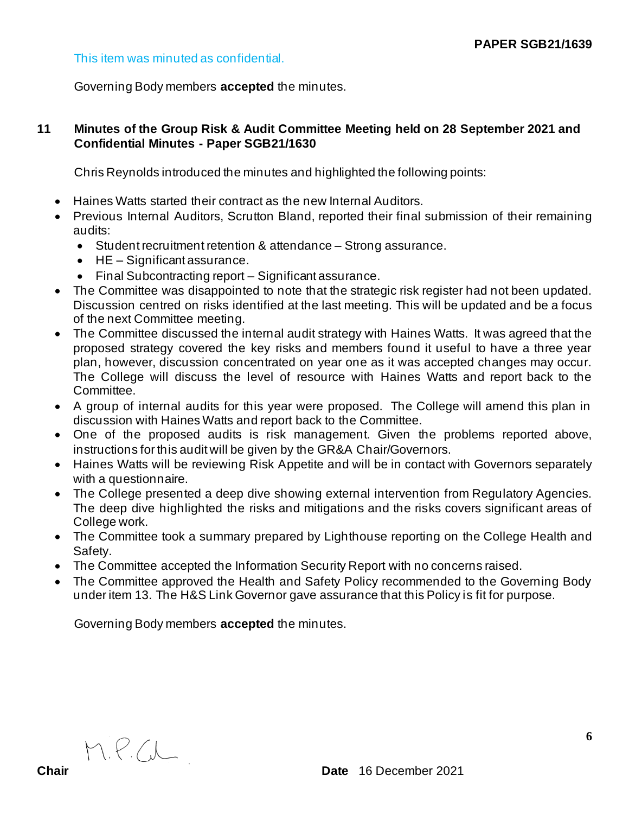## This item was minuted as confidential.

Governing Body members **accepted** the minutes.

# **11 Minutes of the Group Risk & Audit Committee Meeting held on 28 September 2021 and Confidential Minutes - Paper SGB21/1630**

Chris Reynolds introduced the minutes and highlighted the following points:

- Haines Watts started their contract as the new Internal Auditors.
- Previous Internal Auditors, Scrutton Bland, reported their final submission of their remaining audits:
	- Student recruitment retention & attendance Strong assurance.
	- HE Significant assurance.
	- Final Subcontracting report Significant assurance.
- The Committee was disappointed to note that the strategic risk register had not been updated. Discussion centred on risks identified at the last meeting. This will be updated and be a focus of the next Committee meeting.
- The Committee discussed the internal audit strategy with Haines Watts. It was agreed that the proposed strategy covered the key risks and members found it useful to have a three year plan, however, discussion concentrated on year one as it was accepted changes may occur. The College will discuss the level of resource with Haines Watts and report back to the Committee.
- A group of internal audits for this year were proposed. The College will amend this plan in discussion with Haines Watts and report back to the Committee.
- One of the proposed audits is risk management. Given the problems reported above, instructions for this audit will be given by the GR&A Chair/Governors.
- Haines Watts will be reviewing Risk Appetite and will be in contact with Governors separately with a questionnaire.
- The College presented a deep dive showing external intervention from Regulatory Agencies. The deep dive highlighted the risks and mitigations and the risks covers significant areas of College work.
- The Committee took a summary prepared by Lighthouse reporting on the College Health and Safety.
- The Committee accepted the Information Security Report with no concerns raised.
- The Committee approved the Health and Safety Policy recommended to the Governing Body under item 13. The H&S Link Governor gave assurance that this Policy is fit for purpose.

Governing Body members **accepted** the minutes.

M.P.C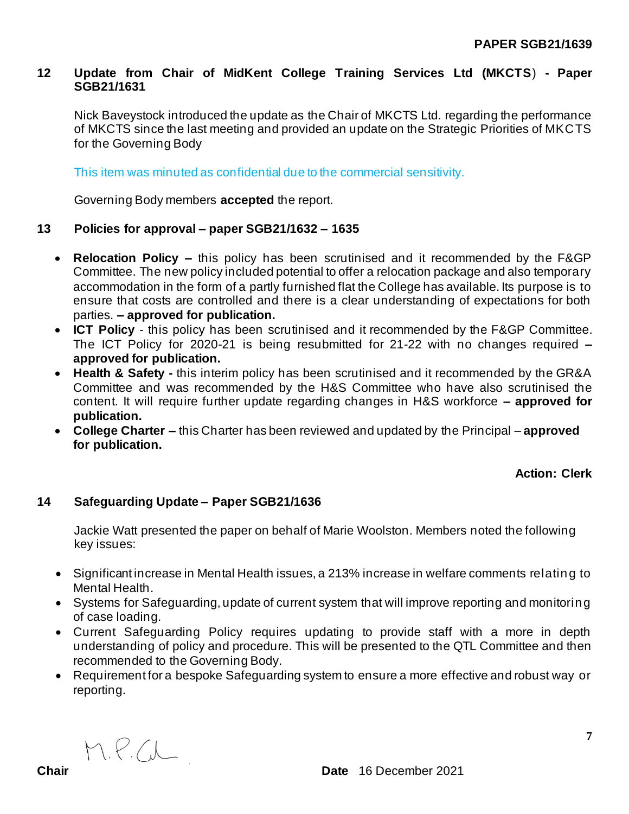### **12 Update from Chair of MidKent College Training Services Ltd (MKCTS**) **- Paper SGB21/1631**

Nick Baveystock introduced the update as the Chair of MKCTS Ltd. regarding the performance of MKCTS since the last meeting and provided an update on the Strategic Priorities of MKCTS for the Governing Body

This item was minuted as confidential due to the commercial sensitivity.

Governing Body members **accepted** the report.

### **13 Policies for approval – paper SGB21/1632 – 1635**

- **Relocation Policy –** this policy has been scrutinised and it recommended by the F&GP Committee. The new policy included potential to offer a relocation package and also temporary accommodation in the form of a partly furnished flat the College has available. Its purpose is to ensure that costs are controlled and there is a clear understanding of expectations for both parties. **– approved for publication.**
- **ICT Policy**  this policy has been scrutinised and it recommended by the F&GP Committee. The ICT Policy for 2020-21 is being resubmitted for 21-22 with no changes required **– approved for publication.**
- **Health & Safety -** this interim policy has been scrutinised and it recommended by the GR&A Committee and was recommended by the H&S Committee who have also scrutinised the content. It will require further update regarding changes in H&S workforce **– approved for publication.**
- **College Charter –** this Charter has been reviewed and updated by the Principal **approved for publication.**

**Action: Clerk**

# **14 Safeguarding Update – Paper SGB21/1636**

Jackie Watt presented the paper on behalf of Marie Woolston. Members noted the following key issues:

- Significant increase in Mental Health issues, a 213% increase in welfare comments relating to Mental Health.
- Systems for Safeguarding, update of current system that will improve reporting and monitoring of case loading.
- Current Safeguarding Policy requires updating to provide staff with a more in depth understanding of policy and procedure. This will be presented to the QTL Committee and then recommended to the Governing Body.
- Requirement for a bespoke Safeguarding system to ensure a more effective and robust way or reporting.

M.P.W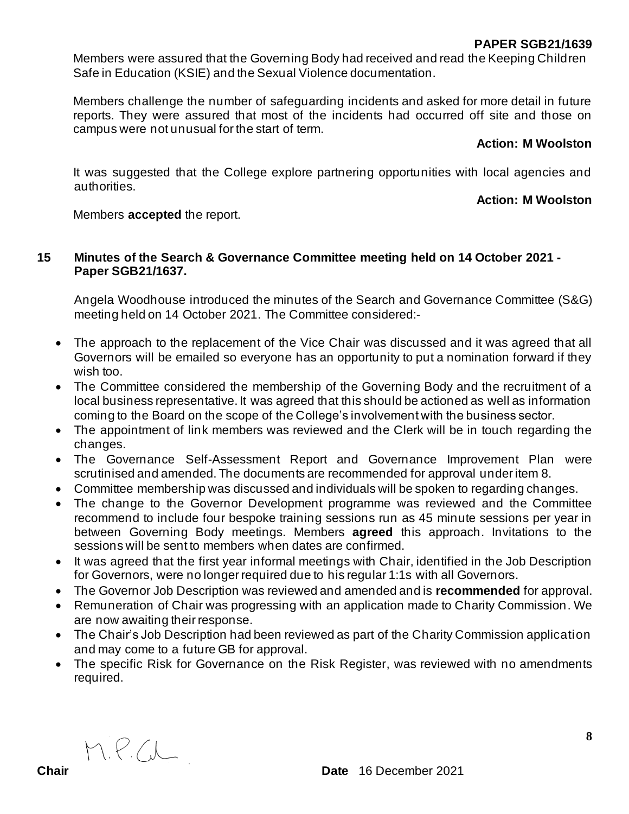## **PAPER SGB21/1639**

Members were assured that the Governing Body had received and read the Keeping Children Safe in Education (KSIE) and the Sexual Violence documentation.

Members challenge the number of safeguarding incidents and asked for more detail in future reports. They were assured that most of the incidents had occurred off site and those on campus were not unusual for the start of term.

### **Action: M Woolston**

It was suggested that the College explore partnering opportunities with local agencies and authorities.

## **Action: M Woolston**

Members **accepted** the report.

# **15 Minutes of the Search & Governance Committee meeting held on 14 October 2021 - Paper SGB21/1637.**

Angela Woodhouse introduced the minutes of the Search and Governance Committee (S&G) meeting held on 14 October 2021. The Committee considered:-

- The approach to the replacement of the Vice Chair was discussed and it was agreed that all Governors will be emailed so everyone has an opportunity to put a nomination forward if they wish too.
- The Committee considered the membership of the Governing Body and the recruitment of a local business representative. It was agreed that this should be actioned as well as information coming to the Board on the scope of the College's involvement with the business sector.
- The appointment of link members was reviewed and the Clerk will be in touch regarding the changes.
- The Governance Self-Assessment Report and Governance Improvement Plan were scrutinised and amended. The documents are recommended for approval under item 8.
- Committee membership was discussed and individuals will be spoken to regarding changes.
- The change to the Governor Development programme was reviewed and the Committee recommend to include four bespoke training sessions run as 45 minute sessions per year in between Governing Body meetings. Members **agreed** this approach. Invitations to the sessions will be sent to members when dates are confirmed.
- It was agreed that the first year informal meetings with Chair, identified in the Job Description for Governors, were no longer required due to his regular 1:1s with all Governors.
- The Governor Job Description was reviewed and amended and is **recommended** for approval.
- Remuneration of Chair was progressing with an application made to Charity Commission. We are now awaiting their response.
- The Chair's Job Description had been reviewed as part of the Charity Commission application and may come to a future GB for approval.
- The specific Risk for Governance on the Risk Register, was reviewed with no amendments required.

M.P.C